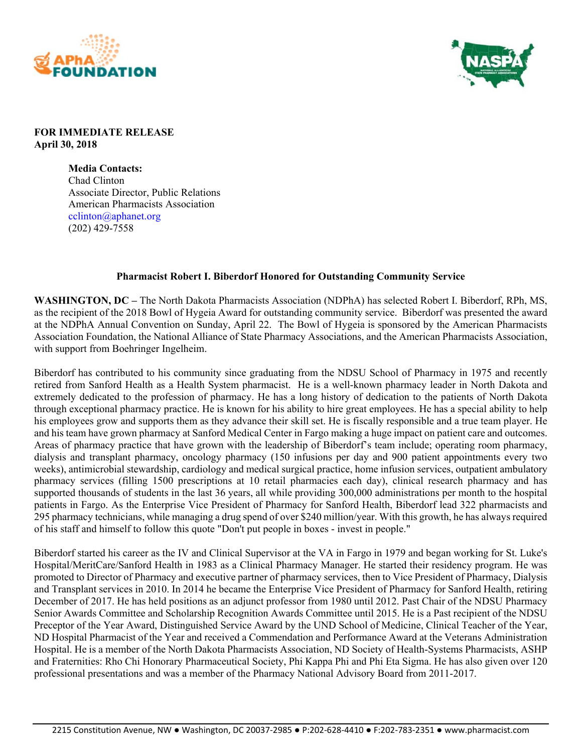



## **FOR IMMEDIATE RELEASE April 30, 2018**

**Media Contacts:**  Chad Clinton Associate Director, Public Relations American Pharmacists Association cclinton@aphanet.org (202) 429-7558

## **Pharmacist Robert I. Biberdorf Honored for Outstanding Community Service**

**WASHINGTON, DC –** The North Dakota Pharmacists Association (NDPhA) has selected Robert I. Biberdorf, RPh, MS, as the recipient of the 2018 Bowl of Hygeia Award for outstanding community service. Biberdorf was presented the award at the NDPhA Annual Convention on Sunday, April 22. The Bowl of Hygeia is sponsored by the American Pharmacists Association Foundation, the National Alliance of State Pharmacy Associations, and the American Pharmacists Association, with support from Boehringer Ingelheim.

Biberdorf has contributed to his community since graduating from the NDSU School of Pharmacy in 1975 and recently retired from Sanford Health as a Health System pharmacist. He is a well-known pharmacy leader in North Dakota and extremely dedicated to the profession of pharmacy. He has a long history of dedication to the patients of North Dakota through exceptional pharmacy practice. He is known for his ability to hire great employees. He has a special ability to help his employees grow and supports them as they advance their skill set. He is fiscally responsible and a true team player. He and his team have grown pharmacy at Sanford Medical Center in Fargo making a huge impact on patient care and outcomes. Areas of pharmacy practice that have grown with the leadership of Biberdorf's team include; operating room pharmacy, dialysis and transplant pharmacy, oncology pharmacy (150 infusions per day and 900 patient appointments every two weeks), antimicrobial stewardship, cardiology and medical surgical practice, home infusion services, outpatient ambulatory pharmacy services (filling 1500 prescriptions at 10 retail pharmacies each day), clinical research pharmacy and has supported thousands of students in the last 36 years, all while providing 300,000 administrations per month to the hospital patients in Fargo. As the Enterprise Vice President of Pharmacy for Sanford Health, Biberdorf lead 322 pharmacists and 295 pharmacy technicians, while managing a drug spend of over \$240 million/year. With this growth, he has always required of his staff and himself to follow this quote "Don't put people in boxes - invest in people."

Biberdorf started his career as the IV and Clinical Supervisor at the VA in Fargo in 1979 and began working for St. Luke's Hospital/MeritCare/Sanford Health in 1983 as a Clinical Pharmacy Manager. He started their residency program. He was promoted to Director of Pharmacy and executive partner of pharmacy services, then to Vice President of Pharmacy, Dialysis and Transplant services in 2010. In 2014 he became the Enterprise Vice President of Pharmacy for Sanford Health, retiring December of 2017. He has held positions as an adjunct professor from 1980 until 2012. Past Chair of the NDSU Pharmacy Senior Awards Committee and Scholarship Recognition Awards Committee until 2015. He is a Past recipient of the NDSU Preceptor of the Year Award, Distinguished Service Award by the UND School of Medicine, Clinical Teacher of the Year, ND Hospital Pharmacist of the Year and received a Commendation and Performance Award at the Veterans Administration Hospital. He is a member of the North Dakota Pharmacists Association, ND Society of Health-Systems Pharmacists, ASHP and Fraternities: Rho Chi Honorary Pharmaceutical Society, Phi Kappa Phi and Phi Eta Sigma. He has also given over 120 professional presentations and was a member of the Pharmacy National Advisory Board from 2011-2017.